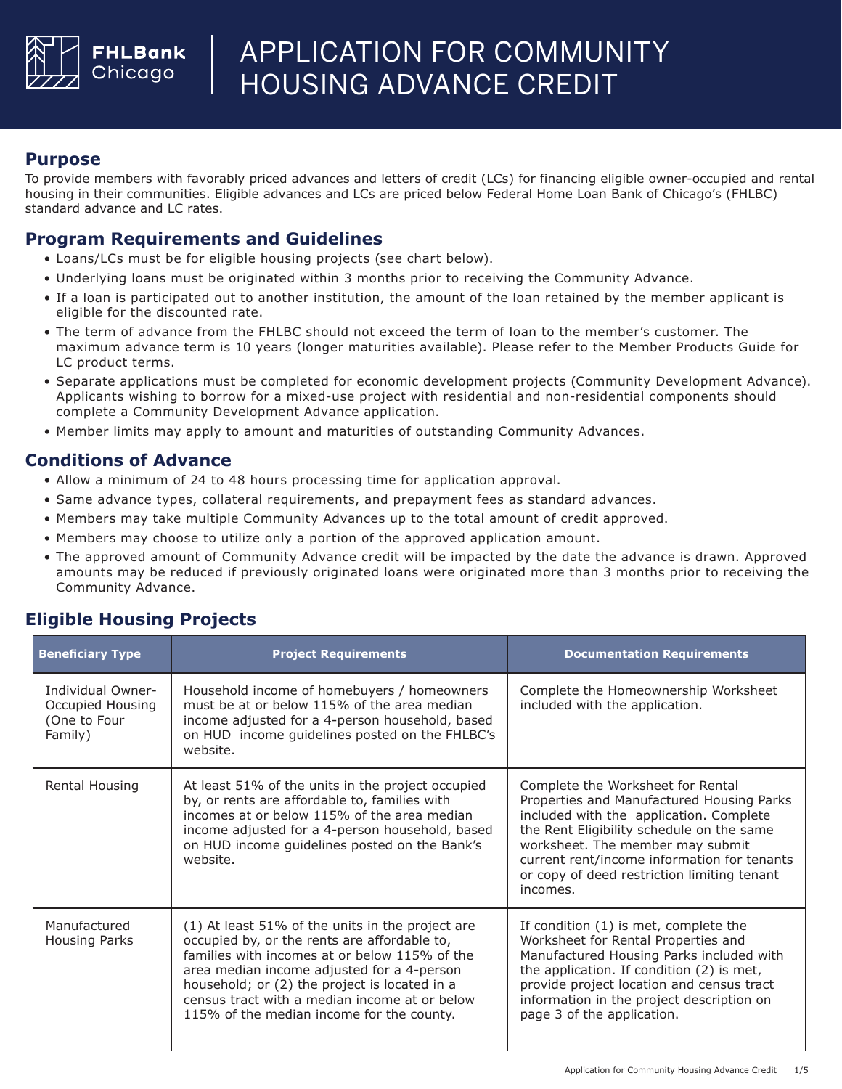

#### **Purpose**

To provide members with favorably priced advances and letters of credit (LCs) for financing eligible owner-occupied and rental housing in their communities. Eligible advances and LCs are priced below Federal Home Loan Bank of Chicago's (FHLBC) standard advance and LC rates.

#### **Program Requirements and Guidelines**

- Loans/LCs must be for eligible housing projects (see chart below).
- Underlying loans must be originated within 3 months prior to receiving the Community Advance.
- If a loan is participated out to another institution, the amount of the loan retained by the member applicant is eligible for the discounted rate.
- The term of advance from the FHLBC should not exceed the term of loan to the member's customer. The maximum advance term is 10 years (longer maturities available). Please refer to the Member Products Guide for LC product terms.
- Separate applications must be completed for economic development projects (Community Development Advance). Applicants wishing to borrow for a mixed-use project with residential and non-residential components should complete a Community Development Advance application.
- Member limits may apply to amount and maturities of outstanding Community Advances.

#### **Conditions of Advance**

- Allow a minimum of 24 to 48 hours processing time for application approval.
- Same advance types, collateral requirements, and prepayment fees as standard advances.
- Members may take multiple Community Advances up to the total amount of credit approved.
- Members may choose to utilize only a portion of the approved application amount.
- The approved amount of Community Advance credit will be impacted by the date the advance is drawn. Approved amounts may be reduced if previously originated loans were originated more than 3 months prior to receiving the Community Advance.

### **Eligible Housing Projects**

| <b>Beneficiary Type</b>                                          | <b>Project Requirements</b>                                                                                                                                                                                                                                                                                                                    | <b>Documentation Requirements</b>                                                                                                                                                                                                                                                                                    |
|------------------------------------------------------------------|------------------------------------------------------------------------------------------------------------------------------------------------------------------------------------------------------------------------------------------------------------------------------------------------------------------------------------------------|----------------------------------------------------------------------------------------------------------------------------------------------------------------------------------------------------------------------------------------------------------------------------------------------------------------------|
| Individual Owner-<br>Occupied Housing<br>One to Four)<br>Family) | Household income of homebuyers / homeowners<br>must be at or below 115% of the area median<br>income adjusted for a 4-person household, based<br>on HUD income guidelines posted on the FHLBC's<br>website.                                                                                                                                    | Complete the Homeownership Worksheet<br>included with the application.                                                                                                                                                                                                                                               |
| Rental Housing                                                   | At least 51% of the units in the project occupied<br>by, or rents are affordable to, families with<br>incomes at or below 115% of the area median<br>income adjusted for a 4-person household, based<br>on HUD income guidelines posted on the Bank's<br>website.                                                                              | Complete the Worksheet for Rental<br>Properties and Manufactured Housing Parks<br>included with the application. Complete<br>the Rent Eligibility schedule on the same<br>worksheet. The member may submit<br>current rent/income information for tenants<br>or copy of deed restriction limiting tenant<br>incomes. |
| Manufactured<br>Housing Parks                                    | (1) At least 51% of the units in the project are<br>occupied by, or the rents are affordable to,<br>families with incomes at or below 115% of the<br>area median income adjusted for a 4-person<br>household; or (2) the project is located in a<br>census tract with a median income at or below<br>115% of the median income for the county. | If condition (1) is met, complete the<br>Worksheet for Rental Properties and<br>Manufactured Housing Parks included with<br>the application. If condition (2) is met,<br>provide project location and census tract<br>information in the project description on<br>page 3 of the application.                        |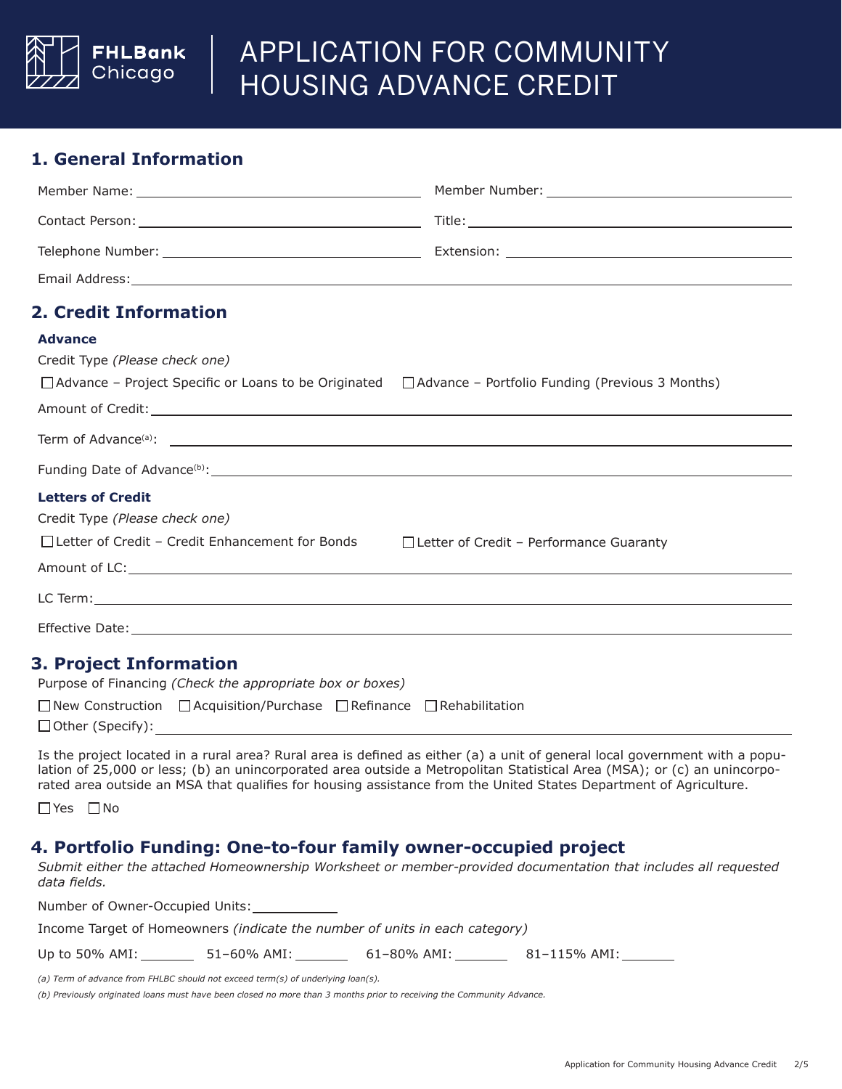

### **1. General Information**

| <b>2. Credit Information</b>                                                                                       |                                                                                                     |
|--------------------------------------------------------------------------------------------------------------------|-----------------------------------------------------------------------------------------------------|
| <b>Advance</b>                                                                                                     |                                                                                                     |
| Credit Type (Please check one)                                                                                     |                                                                                                     |
| $\Box$ Advance – Project Specific or Loans to be Originated $\Box$ Advance – Portfolio Funding (Previous 3 Months) |                                                                                                     |
|                                                                                                                    |                                                                                                     |
|                                                                                                                    |                                                                                                     |
|                                                                                                                    |                                                                                                     |
| <b>Letters of Credit</b>                                                                                           |                                                                                                     |
| Credit Type (Please check one)                                                                                     |                                                                                                     |
| □ Letter of Credit - Credit Enhancement for Bonds                                                                  | $\Box$ Letter of Credit - Performance Guaranty                                                      |
|                                                                                                                    | Amount of LC: New York and the second contract of the second contract of the second contract of LC: |
|                                                                                                                    |                                                                                                     |
|                                                                                                                    |                                                                                                     |
| <b>3. Project Information</b>                                                                                      |                                                                                                     |

## Purpose of Financing *(Check the appropriate box or boxes)*

|                         | $\Box$ New Construction $\Box$ Acquisition/Purchase $\Box$ Refinance $\Box$ Rehabilitation |  |
|-------------------------|--------------------------------------------------------------------------------------------|--|
| $\Box$ Other (Specify): |                                                                                            |  |

Is the project located in a rural area? Rural area is defined as either (a) a unit of general local government with a population of 25,000 or less; (b) an unincorporated area outside a Metropolitan Statistical Area (MSA); or (c) an unincorporated area outside an MSA that qualifies for housing assistance from the United States Department of Agriculture.

Yes □No

#### **4. Portfolio Funding: One-to-four family owner-occupied project**

*Submit either the attached Homeownership Worksheet or member-provided documentation that includes all requested data fields.*

| Number of Owner-Occupied Units:                                                    |             |             |              |  |  |  |  |
|------------------------------------------------------------------------------------|-------------|-------------|--------------|--|--|--|--|
| Income Target of Homeowners <i>(indicate the number of units in each category)</i> |             |             |              |  |  |  |  |
| Up to $50\%$ AMI:                                                                  | 51–60% AMI: | 61–80% AMI: | 81–115% AMI: |  |  |  |  |

*(a) Term of advance from FHLBC should not exceed term(s) of underlying loan(s).*

*(b) Previously originated loans must have been closed no more than 3 months prior to receiving the Community Advance.*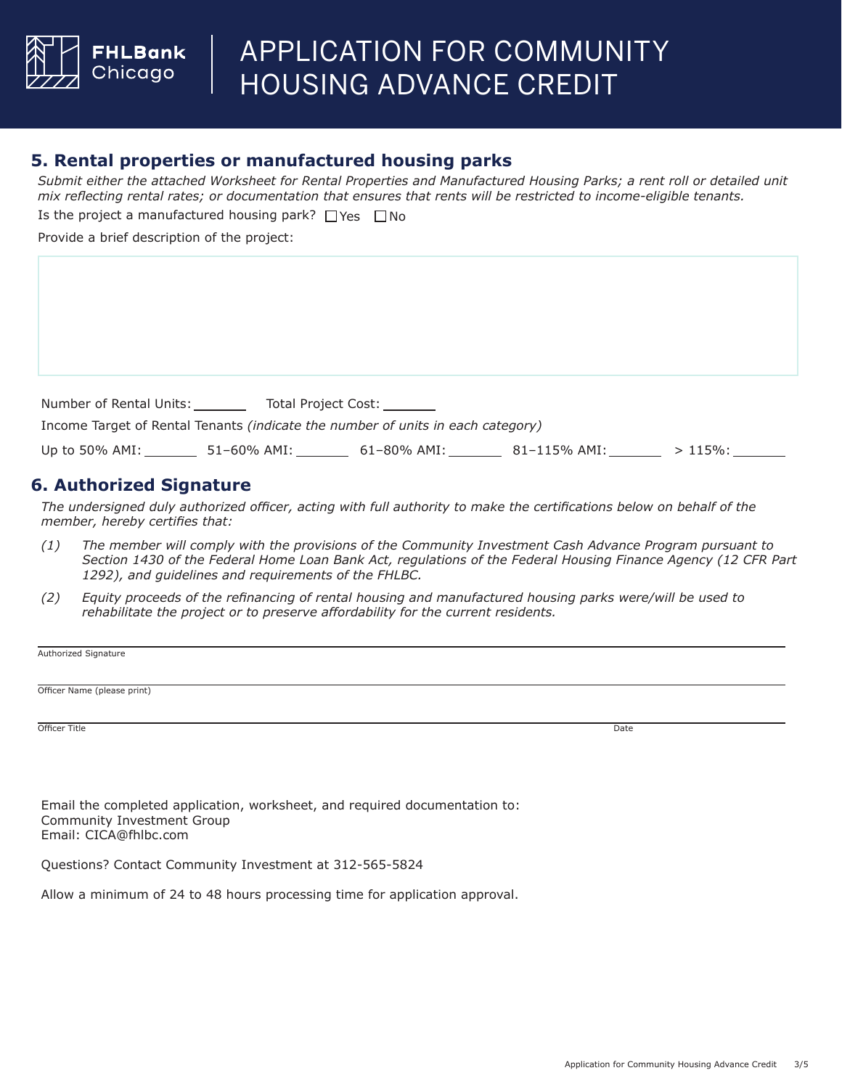

#### **5. Rental properties or manufactured housing parks**

*Submit either the attached Worksheet for Rental Properties and Manufactured Housing Parks; a rent roll or detailed unit mix reflecting rental rates; or documentation that ensures that rents will be restricted to income-eligible tenants.*

Is the project a manufactured housing park?  $\Box$  Yes  $\Box$  No

Provide a brief description of the project:

| Number of Rental Units: |                                                                                 | Total Project Cost: ________ |              |            |  |
|-------------------------|---------------------------------------------------------------------------------|------------------------------|--------------|------------|--|
|                         | Income Target of Rental Tenants (indicate the number of units in each category) |                              |              |            |  |
| Up to 50% $AMI:$        | 51–60% AMI:                                                                     | 61–80% AMI:                  | 81–115% AMI: | $>115\%$ : |  |

#### **6. Authorized Signature**

*The undersigned duly authorized officer, acting with full authority to make the certifications below on behalf of the member, hereby certifies that:*

- *The member will comply with the provisions of the Community Investment Cash Advance Program pursuant to Section 1430 of the Federal Home Loan Bank Act, regulations of the Federal Housing Finance Agency (12 CFR Part 1292), and guidelines and requirements of the FHLBC. (1)*
- *(2) Equity proceeds of the refinancing of rental housing and manufactured housing parks were/will be used to rehabilitate the project or to preserve affordability for the current residents.*

Authorized Signature

Officer Name (please print)

Officer Title **Example 2** Date of the Date of the United States of the Date of the Date of the Date of the Date of the Date of the Date of the Date of the Date of the Date of the Date of the Date of the Date of the Date of

Email the completed application, worksheet, and required documentation to: Community Investment Group Email: CICA@fhlbc.com

Questions? Contact Community Investment at 312-565-5824

Allow a minimum of 24 to 48 hours processing time for application approval.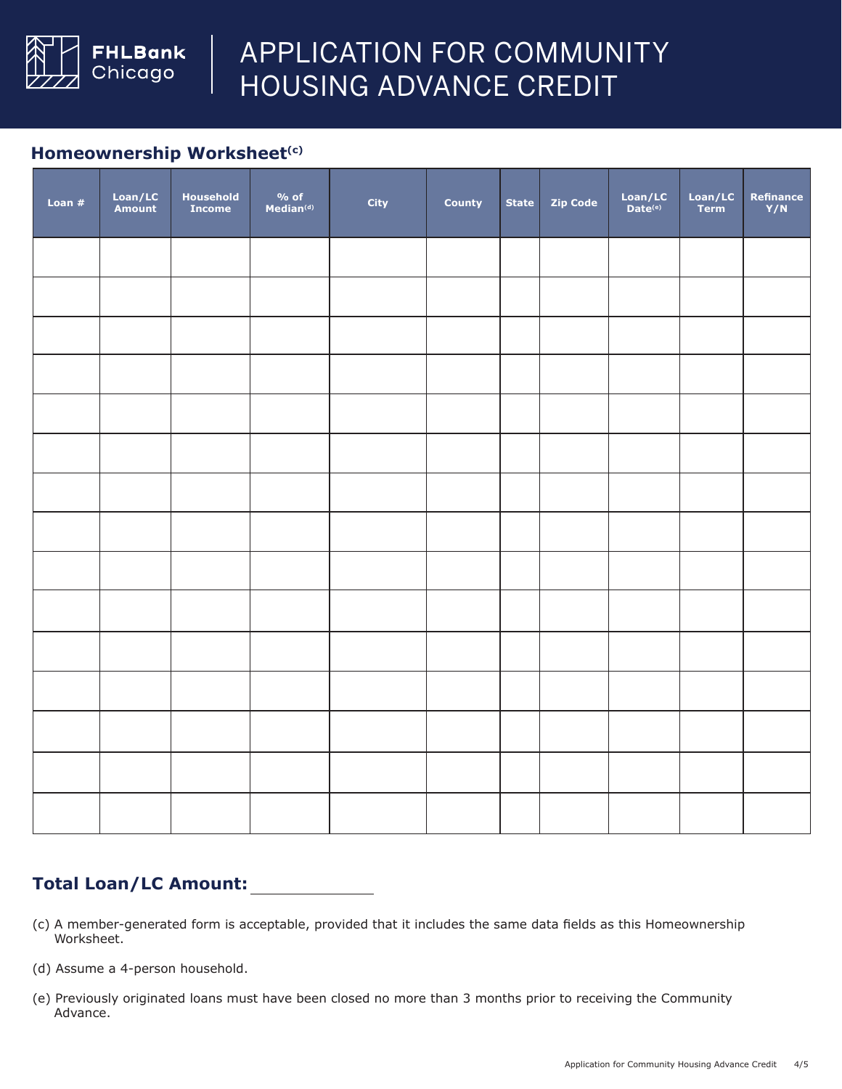

#### **Homeownership Worksheet(c)**

| Loan $#$ | Loan/LC<br>Amount | Household<br><b>Income</b> | $\frac{9}{6}$ of<br>Median(d) | <b>City</b> | County | <b>State</b> | <b>Zip Code</b> | $\frac{Loan/LC}{Date^{(e)}}$ | Loan/LC<br>Term | Refinance<br>Y/N |
|----------|-------------------|----------------------------|-------------------------------|-------------|--------|--------------|-----------------|------------------------------|-----------------|------------------|
|          |                   |                            |                               |             |        |              |                 |                              |                 |                  |
|          |                   |                            |                               |             |        |              |                 |                              |                 |                  |
|          |                   |                            |                               |             |        |              |                 |                              |                 |                  |
|          |                   |                            |                               |             |        |              |                 |                              |                 |                  |
|          |                   |                            |                               |             |        |              |                 |                              |                 |                  |
|          |                   |                            |                               |             |        |              |                 |                              |                 |                  |
|          |                   |                            |                               |             |        |              |                 |                              |                 |                  |
|          |                   |                            |                               |             |        |              |                 |                              |                 |                  |
|          |                   |                            |                               |             |        |              |                 |                              |                 |                  |
|          |                   |                            |                               |             |        |              |                 |                              |                 |                  |
|          |                   |                            |                               |             |        |              |                 |                              |                 |                  |
|          |                   |                            |                               |             |        |              |                 |                              |                 |                  |
|          |                   |                            |                               |             |        |              |                 |                              |                 |                  |
|          |                   |                            |                               |             |        |              |                 |                              |                 |                  |
|          |                   |                            |                               |             |        |              |                 |                              |                 |                  |

## **Total Loan/LC Amount:**

- (c) A member-generated form is acceptable, provided that it includes the same data fields as this Homeownership Worksheet.
- (d) Assume a 4-person household.
- (e) Previously originated loans must have been closed no more than 3 months prior to receiving the Community Advance.